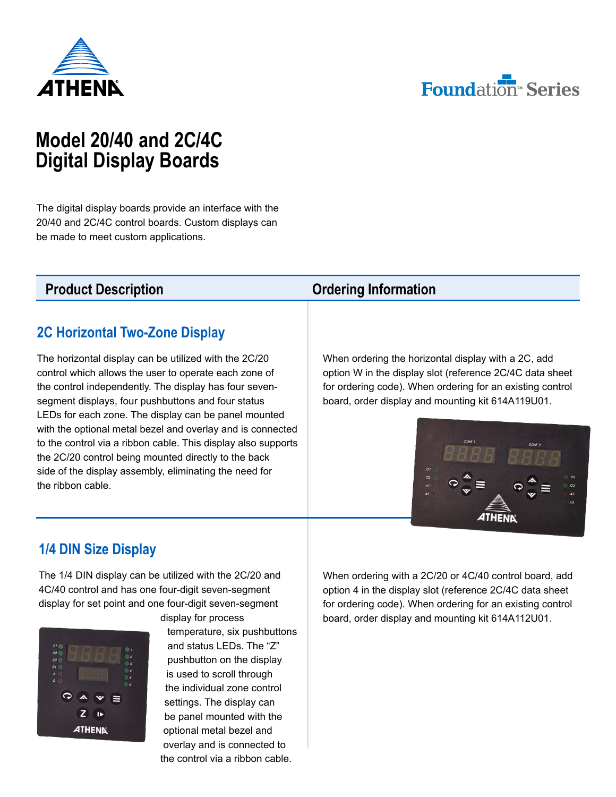



# **Model 20/40 and 2C/4C Digital Display Boards**

The digital display boards provide an interface with the 20/40 and 2C/4C control boards. Custom displays can be made to meet custom applications.

### **2C Horizontal Two-Zone Display**

The horizontal display can be utilized with the 2C/20 control which allows the user to operate each zone of the control independently. The display has four sevensegment displays, four pushbuttons and four status LEDs for each zone. The display can be panel mounted with the optional metal bezel and overlay and is connected to the control via a ribbon cable. This display also supports the 2C/20 control being mounted directly to the back side of the display assembly, eliminating the need for the ribbon cable.

#### **Product Description** *Description Ordering Information*

When ordering the horizontal display with a 2C, add option W in the display slot (reference 2C/4C data sheet for ordering code). When ordering for an existing control board, order display and mounting kit 614A119U01.



### **1/4 DIN Size Display**

The 1/4 DIN display can be utilized with the 2C/20 and 4C/40 control and has one four-digit seven-segment display for set point and one four-digit seven-segment



display for process temperature, six pushbuttons and status LEDs. The "Z" pushbutton on the display is used to scroll through the individual zone control settings. The display can be panel mounted with the optional metal bezel and overlay and is connected to the control via a ribbon cable.

When ordering with a 2C/20 or 4C/40 control board, add option 4 in the display slot (reference 2C/4C data sheet for ordering code). When ordering for an existing control board, order display and mounting kit 614A112U01.